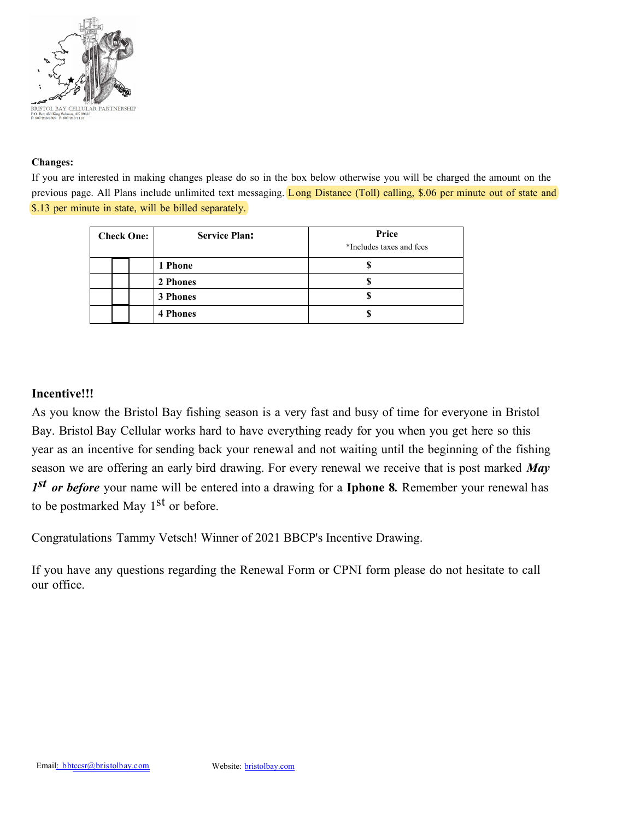

### **Changes:**

If you are interested in making changes please do so in the box below otherwise you will be charged the amount on the previous page. All Plans include unlimited text messaging. Long Distance (Toll) calling, \$.06 per minute out of state and \$.13 per minute in state, will be billed separately. **\*\*\* PLEASE NOTE TAXES AND REGULARTORY FEES HAVE INCREASED CONSIDERABLY, OUR BASIC SERVICE COSTS HAVE NOT CHANGED. For more information regarding Taxes and Regulatory fees please visit our website www.bristolbay.com/taxes-and-surcharges.html**

| <b>Check One:</b> |  |  | <b>Service Plan:</b> | Price<br>*Includes taxes and fees |
|-------------------|--|--|----------------------|-----------------------------------|
|                   |  |  | 1 Phone              | \$346.00                          |
|                   |  |  | 2 Phones             | \$444.24                          |
|                   |  |  | <b>3 Phones</b>      | \$541.98                          |
|                   |  |  | <b>4 Phones</b>      | \$639.72                          |

## **Incentive!!!**

As you know the Bristol Bay fishing season is a very fast and busy of time for everyone in Bristol Bay. Bristol Bay Cellular works hard to have everything ready for you when you get here so this year as an incentive for sending back your renewal and not waiting until the beginning of the fishing season we are offering an early bird drawing. For every renewal we receive that is post marked *May 1 st or before* your name will be entered into a drawing for a **Iphone 8***.* Remember your renewal has to be postmarked May 1<sup>st</sup> or before.

Congratulations Tammy Vetsch! Winner of 2021 BBCP's Incentive Drawing.

If you have any questions regarding the Renewal Form or CPNI form please do not hesitate to call our office.